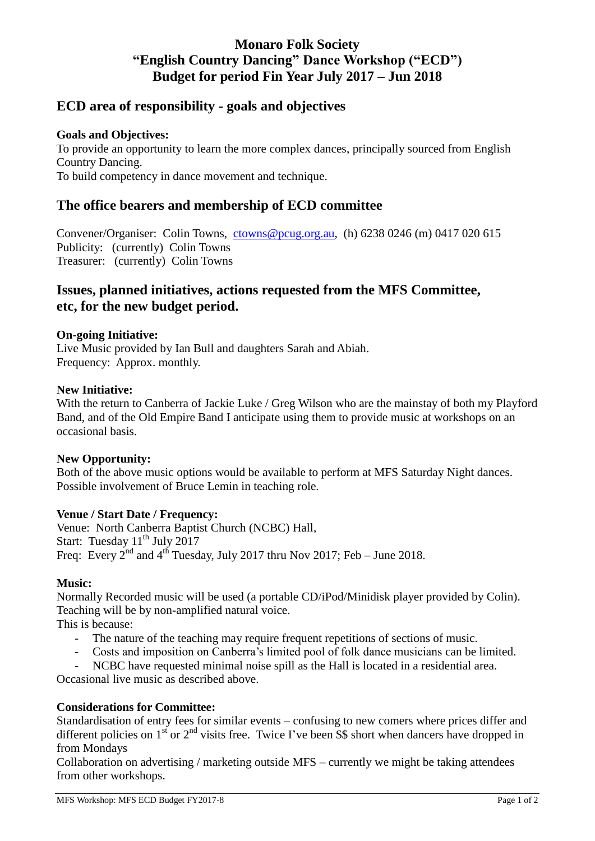# **Monaro Folk Society "English Country Dancing" Dance Workshop ("ECD") Budget for period Fin Year July 2017 – Jun 2018**

## **ECD area of responsibility - goals and objectives**

### **Goals and Objectives:**

To provide an opportunity to learn the more complex dances, principally sourced from English Country Dancing. To build competency in dance movement and technique.

## **The office bearers and membership of ECD committee**

Convener/Organiser: Colin Towns, [ctowns@pcug.org.au,](mailto:ctowns@pcug.org.au) (h) 6238 0246 (m) 0417 020 615 Publicity: (currently) Colin Towns Treasurer: (currently) Colin Towns

## **Issues, planned initiatives, actions requested from the MFS Committee, etc, for the new budget period.**

### **On-going Initiative:**

Live Music provided by Ian Bull and daughters Sarah and Abiah. Frequency: Approx. monthly.

#### **New Initiative:**

With the return to Canberra of Jackie Luke / Greg Wilson who are the mainstay of both my Playford Band, and of the Old Empire Band I anticipate using them to provide music at workshops on an occasional basis.

#### **New Opportunity:**

Both of the above music options would be available to perform at MFS Saturday Night dances. Possible involvement of Bruce Lemin in teaching role.

#### **Venue / Start Date / Frequency:**

Venue: North Canberra Baptist Church (NCBC) Hall, Start: Tuesday  $11^{th}$  July 2017 Freq: Every  $2^{nd}$  and  $4^{th}$  Tuesday, July 2017 thru Nov 2017; Feb – June 2018.

#### **Music:**

Normally Recorded music will be used (a portable CD/iPod/Minidisk player provided by Colin). Teaching will be by non-amplified natural voice.

This is because:

- The nature of the teaching may require frequent repetitions of sections of music.
- Costs and imposition on Canberra's limited pool of folk dance musicians can be limited.
- NCBC have requested minimal noise spill as the Hall is located in a residential area.

Occasional live music as described above.

### **Considerations for Committee:**

Standardisation of entry fees for similar events – confusing to new comers where prices differ and different policies on  $1<sup>st</sup>$  or  $2<sup>nd</sup>$  visits free. Twice I've been \$\$ short when dancers have dropped in from Mondays

Collaboration on advertising / marketing outside MFS – currently we might be taking attendees from other workshops.